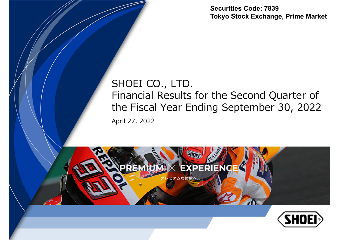**Securities Code: 7839Tokyo Stock Exchange, Prime Market**

### April 27, 2022 SHOEI CO., LTD. Financial Results for the Second Quarter of the Fiscal Year Ending September 30, 2022



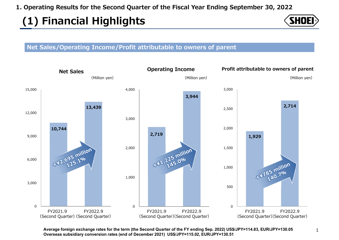# **(1) Financial Highlights**



#### **Net Sales/Operating Income/Profit attributable to owners of parent**



**Average foreign exchange rates for the term (the Second Quarter of the FY ending Sep. 2022) US\$/JPY=114.83, EUR/JPY=130.05 Overseas subsidiary conversion rates (end of December 2021) US\$/JPY=115.02, EUR/JPY=130.51**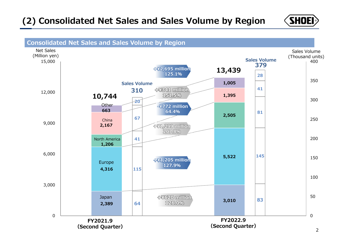### **(2) Consolidated Net Sales and Sales Volume by Region**